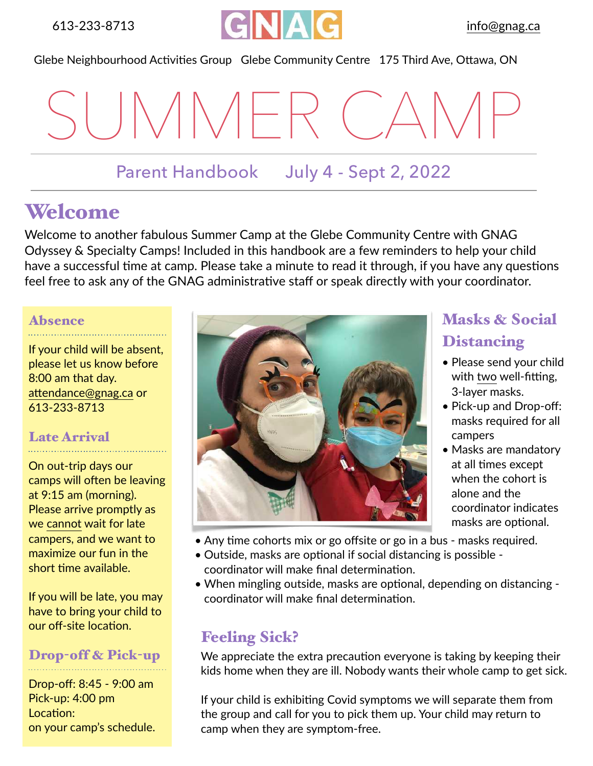

Glebe Neighbourhood Activities Group Glebe Community Centre 175 Third Ave, Ottawa, ON

SUMMER CAMP

### Parent Handbook July 4 - Sept 2, 2022

## Welcome

Welcome to another fabulous Summer Camp at the Glebe Community Centre with GNAG Odyssey & Specialty Camps! Included in this handbook are a few reminders to help your child have a successful time at camp. Please take a minute to read it through, if you have any questions feel free to ask any of the GNAG administrative staff or speak directly with your coordinator.

#### Absence

If your child will be absent, please let us know before 8:00 am that day. [attendance@gnag.ca](mailto:attendance@gnag.ca) or 613-233-8713

#### Late Arrival

On out-trip days our camps will often be leaving at 9:15 am (morning). Please arrive promptly as we cannot wait for late campers, and we want to maximize our fun in the short time available.

If you will be late, you may have to bring your child to our off-site location.

#### Drop-off & Pick-up

Drop-off: 8:45 - 9:00 am Pick-up: 4:00 pm Location: on your camp's schedule.



### Masks & Social **Distancing**

- Please send your child with two well-fitting, 3-layer masks.
- Pick-up and Drop-off: masks required for all campers
- Masks are mandatory at all times except when the cohort is alone and the coordinator indicates masks are optional.
- Any time cohorts mix or go offsite or go in a bus masks required.
- Outside, masks are optional if social distancing is possible coordinator will make final determination.
- When mingling outside, masks are optional, depending on distancing coordinator will make final determination.

### Feeling Sick?

We appreciate the extra precaution everyone is taking by keeping their kids home when they are ill. Nobody wants their whole camp to get sick.

If your child is exhibiting Covid symptoms we will separate them from the group and call for you to pick them up. Your child may return to camp when they are symptom-free.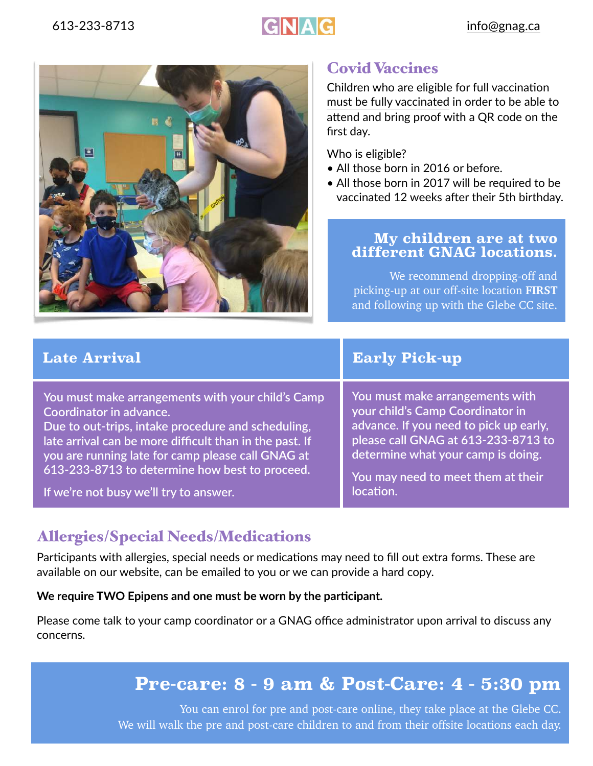# 613-233-8713 **GNAG** [info@gnag.ca](mailto:info@gnag.ca)



### Covid Vaccines

Children who are eligible for full vaccination must be fully vaccinated in order to be able to attend and bring proof with a QR code on the first day.

Who is eligible?

- All those born in 2016 or before.
- All those born in 2017 will be required to be vaccinated 12 weeks after their 5th birthday.

#### **My children are at two different GNAG locations.**

We recommend dropping-off and picking-up at our off-site location **FIRST** and following up with the Glebe CC site.

**You must make arrangements with your child's Camp Coordinator in advance.** 

**Due to out-trips, intake procedure and scheduling, late arrival can be more difficult than in the past. If you are running late for camp please call GNAG at 613-233-8713 to determine how best to proceed.** 

**If we're not busy we'll try to answer.**

**Late Arrival Early Pick-up** 

**You must make arrangements with your child's Camp Coordinator in advance. If you need to pick up early, please call GNAG at 613-233-8713 to determine what your camp is doing.** 

**You may need to meet them at their location.**

### Allergies/Special Needs/Medications

Participants with allergies, special needs or medications may need to fill out extra forms. These are available on our website, can be emailed to you or we can provide a hard copy.

#### **We require TWO Epipens and one must be worn by the participant.**

Please come talk to your camp coordinator or a GNAG office administrator upon arrival to discuss any concerns.

### **Pre-care: 8 - 9 am & Post-Care: 4 - 5:30 pm**

You can enrol for pre and post-care online, they take place at the Glebe CC. We will walk the pre and post-care children to and from their offsite locations each day.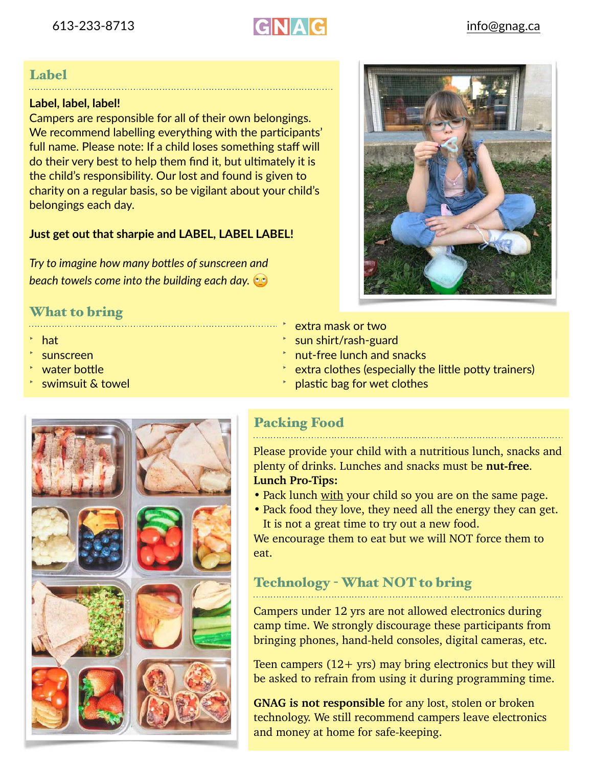

#### Label

#### **Label, label, label!**

Campers are responsible for all of their own belongings. We recommend labelling everything with the participants' full name. Please note: If a child loses something staff will do their very best to help them find it, but ultimately it is the child's responsibility. Our lost and found is given to charity on a regular basis, so be vigilant about your child's belongings each day.

#### **Just get out that sharpie and LABEL, LABEL LABEL!**

*Try to imagine how many bottles of sunscreen and beach towels come into the building each day.* 

#### What to bring

- hat
- sunscreen
- water bottle
- swimsuit & towel



- extra mask or two
- ‣ sun shirt/rash-guard
- ‣ nut-free lunch and snacks
- extra clothes (especially the little potty trainers)
- ‣ plastic bag for wet clothes



#### Packing Food

Please provide your child with a nutritious lunch, snacks and plenty of drinks. Lunches and snacks must be **nut-free**. **Lunch Pro-Tips:**

- Pack lunch with your child so you are on the same page.
- Pack food they love, they need all the energy they can get. It is not a great time to try out a new food.

We encourage them to eat but we will NOT force them to eat.

#### Technology - What NOT to bring

Campers under 12 yrs are not allowed electronics during camp time. We strongly discourage these participants from bringing phones, hand-held consoles, digital cameras, etc.

Teen campers  $(12 + yrs)$  may bring electronics but they will be asked to refrain from using it during programming time.

**GNAG is not responsible** for any lost, stolen or broken technology. We still recommend campers leave electronics and money at home for safe-keeping.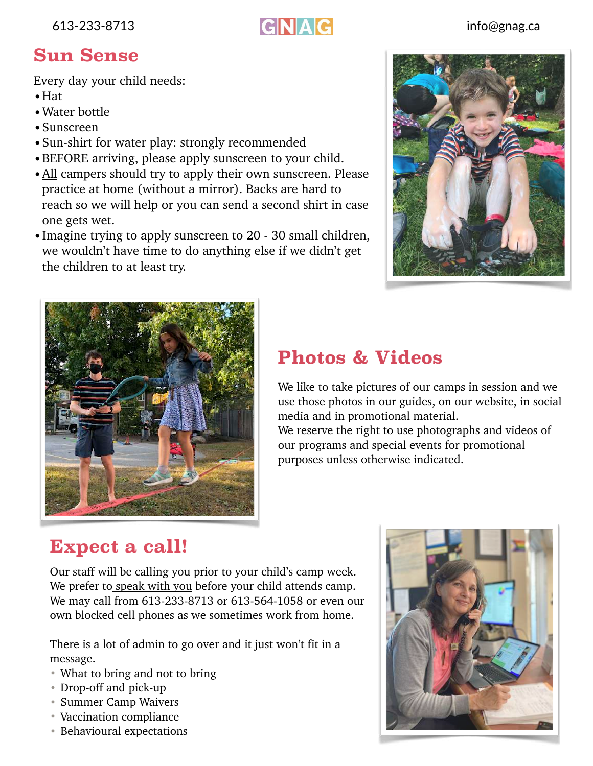613-233-8713 **GNAG** [info@gnag.ca](mailto:info@gnag.ca)

### **Sun Sense**

Every day your child needs:

- •Hat
- •Water bottle
- •Sunscreen
- •Sun-shirt for water play: strongly recommended
- •BEFORE arriving, please apply sunscreen to your child.
- All campers should try to apply their own sunscreen. Please practice at home (without a mirror). Backs are hard to reach so we will help or you can send a second shirt in case one gets wet.
- •Imagine trying to apply sunscreen to 20 30 small children, we wouldn't have time to do anything else if we didn't get the children to at least try.





### **Photos & Videos**

We like to take pictures of our camps in session and we use those photos in our guides, on our website, in social media and in promotional material. We reserve the right to use photographs and videos of

our programs and special events for promotional purposes unless otherwise indicated.

### **Expect a call!**

Our staff will be calling you prior to your child's camp week. We prefer to speak with you before your child attends camp. We may call from 613-233-8713 or 613-564-1058 or even our own blocked cell phones as we sometimes work from home.

There is a lot of admin to go over and it just won't fit in a message.

- What to bring and not to bring
- Drop-off and pick-up
- Summer Camp Waivers
- Vaccination compliance
- Behavioural expectations

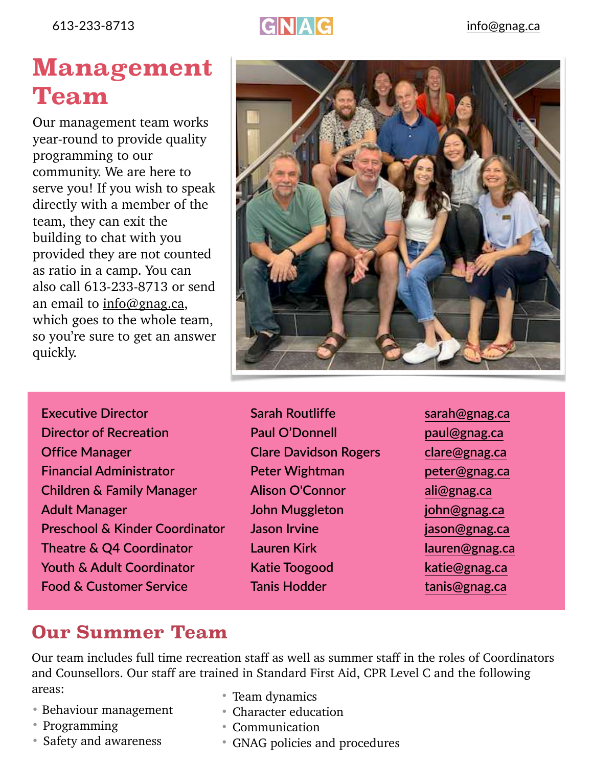613-233-8713 **GNAG** [info@gnag.ca](mailto:info@gnag.ca)

# **Management Team**

Our management team works year-round to provide quality programming to our community. We are here to serve you! If you wish to speak directly with a member of the team, they can exit the building to chat with you provided they are not counted as ratio in a camp. You can also call 613-233-8713 or send an email to [info@gnag.ca](mailto:info@gnag.ca), which goes to the whole team, so you're sure to get an answer quickly.



- **Executive Director Sarah Routliffe [sarah@gnag.ca](mailto:sarah@gnag.ca) Director of Recreation Paul O'Donnell [paul@gnag.ca](mailto:paul@gnag.ca) Office Manager Clare Davidson Rogers [clare@gnag.ca](mailto:clare@gnag.ca) Financial Administrator Peter Wightman [peter@gnag.ca](mailto:peter@gnag.ca) Children & Family Manager Alison O'Connor [ali@gnag.ca](mailto:ali@gnag.ca) Adult Manager John Muggleton [john@gnag.ca](mailto:john@gnag.ca) Preschool & Kinder Coordinator Jason Irvine [jason@gnag.ca](mailto:jason@gnag.ca) Theatre & Q4 Coordinator Lauren Kirk [lauren@gnag.ca](mailto:lauren@gnag.ca) Youth & Adult Coordinator Katie Toogood [katie@gnag.ca](mailto:katie@gnag.ca) Food & Customer Service Tanis Hodder [tanis@gnag.ca](mailto:tanis@gnag.ca)**
- 
- 

### **Our Summer Team**

Our team includes full time recreation staff as well as summer staff in the roles of Coordinators and Counsellors. Our staff are trained in Standard First Aid, CPR Level C and the following areas:

- Behaviour management
- Programming
- Safety and awareness
- Team dynamics
- Character education
- Communication
- GNAG policies and procedures